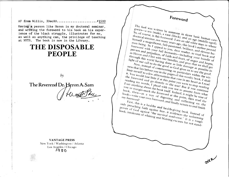AF from Willis, 3Dec80..........................#1500

Having **a** person like Heron in my doctoral seminar, and writing the foreword to his book on his experience of the black struggle, illustrates for me, as well as anything can, the privilege of teaching at NYTS. The book is now in the Library.

## **THE DISPOSABLE PEOPLE**

## **The Reverend Dr. Heron A. Sam**

 $b\gamma$ 

VANTAGE PRESS New York / Washington / Atlanta Los Angeles / Chicago igg **0** 

 $Foreword$ 

This book was written by someone in three basic human  $\sum_{\text{race (black), and an age (initial)}}$  $\delta$ <sup>o</sup>, of course,  $\delta$ <sup>o</sup> (male), a race (b) and an age huma<br>in old we<sup>e (middle</sup>  $\frac{m_{\rm H}}{m_{\rm H}}$  being. So the man figlion of  $\frac{m_{\rm H}}{m_{\rm H}}$  and  $\frac{m_{\rm H}}{m_{\rm H}}$  old white man in which  $\frac{m_{\rm H}}{m_{\rm H}}$ .  $\frac{SO(1)}{S}$  of course,  $\frac{1}{2}$  this foreword.  $^{an}$  an old  $\frac{2}{\text{passioned}}$ , this book's author property. doctoral seminar, not not<br>limself a magnific many toreword with appeal to you, dear read and developed  $\frac{1}{2}$  and  $\frac{1}{2}$  your full by you, dear read and developed powers and prejudices of cumanity-ineder, to read a devout hu-<br>is Heron or prejudices of cumanity-ineder, to read a humanity- $/m_{an}$ being. So  $I_{\text{ann}}$ . and the said to read book and<br>faith and fears, of your bundle  $\frac{d}{dx}$  is world having do bundles, and post-of anger and the of prejudices, of Powers and prejudices, of faith and fears, of anger and hopes,  $\frac{dS}{dt}$  Heron and I live with light of our call to do the<br>Now it call to do the

pray that we shall get<br>amage as we shall get ness that lies before you in the good as God gives us to see the in init myself to see the in Now, instead of common as  $G$  as line that lies began common is  $G$ t. The *invest to a few off in the pages of this*  $\frac{1}{k}$  within the solution with  $\frac{1}{k}$  in  $\frac{1}{k}$  with  $\frac{1}{k}$  with  $\frac{1}{k}$  with  $\frac{1}{k}$  with  $\frac{1}{k}$  with  $\frac{1}{k}$  with  $\frac{1}{k}$  with  $\frac{1}{k}$  with  $\frac$ pages of this worthy book - the good<br>ns that rose worthy book - witworthy  $b_{\text{OQ}}$ that  $r$ <sub>ose in my heart as L</sub><br>bint you we heart as L  $\frac{1}{2}$  would lose Little if at this point we have the Foreword and go ding this point we in my have reading  $\frac{m_V}{m_V}$  words go directly to the text  $n_T$  heart as I read is a read reading anything of plead with the text  $n_H$ . the text!  $B_{111}$  is stop words, I plead with the text! But if you eart as I read<br>g about the book its you not to asset you conting book itself. Indeed : assume from the book, then as a way of itself. Indeed, it might be what I say  $\frac{m y t n n g}{\sqrt{2}}$ about the  $reflectino$   $\frac{read the}{dt}$ book, then—as a way of  $\frac{W}{U}$  our  $\frac{W}{U}$  or digesting and wint, then  $\frac{W}{U}$  of  $\frac{on}{the}$ my foreword!  $\omega o_{k-w_{\text{time}}}$  $\sigma_{\rm q}$ , and  $f_{\rm in ally}$  retted and health-giving and finish  $\frac{fhs}{fhs}$  is a health

of God against the survival syndromes the natural of  $\frac{1}{2}$  which  $\frac{1}{2}$  survival synderies the natural of power of God against said health-giving book to redunish<br>book, into God against said fear, it evidences to redunish  $f_{\text{excuses}}^{m \text{long}}$   $\frac{I_t}{I_t}$  is a tough book, and  $b$ laming